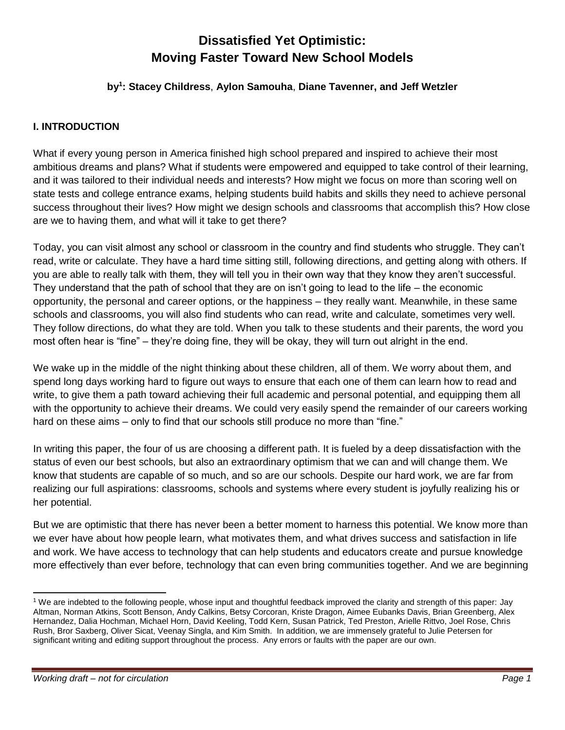# **Dissatisfied Yet Optimistic: Moving Faster Toward New School Models**

#### **by<sup>1</sup> : Stacey Childress**, **Aylon Samouha**, **Diane Tavenner, and Jeff Wetzler**

# **I. INTRODUCTION**

What if every young person in America finished high school prepared and inspired to achieve their most ambitious dreams and plans? What if students were empowered and equipped to take control of their learning, and it was tailored to their individual needs and interests? How might we focus on more than scoring well on state tests and college entrance exams, helping students build habits and skills they need to achieve personal success throughout their lives? How might we design schools and classrooms that accomplish this? How close are we to having them, and what will it take to get there?

Today, you can visit almost any school or classroom in the country and find students who struggle. They can't read, write or calculate. They have a hard time sitting still, following directions, and getting along with others. If you are able to really talk with them, they will tell you in their own way that they know they aren't successful. They understand that the path of school that they are on isn't going to lead to the life – the economic opportunity, the personal and career options, or the happiness – they really want. Meanwhile, in these same schools and classrooms, you will also find students who can read, write and calculate, sometimes very well. They follow directions, do what they are told. When you talk to these students and their parents, the word you most often hear is "fine" – they're doing fine, they will be okay, they will turn out alright in the end.

We wake up in the middle of the night thinking about these children, all of them. We worry about them, and spend long days working hard to figure out ways to ensure that each one of them can learn how to read and write, to give them a path toward achieving their full academic and personal potential, and equipping them all with the opportunity to achieve their dreams. We could very easily spend the remainder of our careers working hard on these aims – only to find that our schools still produce no more than "fine."

In writing this paper, the four of us are choosing a different path. It is fueled by a deep dissatisfaction with the status of even our best schools, but also an extraordinary optimism that we can and will change them. We know that students are capable of so much, and so are our schools. Despite our hard work, we are far from realizing our full aspirations: classrooms, schools and systems where every student is joyfully realizing his or her potential.

But we are optimistic that there has never been a better moment to harness this potential. We know more than we ever have about how people learn, what motivates them, and what drives success and satisfaction in life and work. We have access to technology that can help students and educators create and pursue knowledge more effectively than ever before, technology that can even bring communities together. And we are beginning

 $\overline{a}$ <sup>1</sup> We are indebted to the following people, whose input and thoughtful feedback improved the clarity and strength of this paper: Jay Altman, Norman Atkins, Scott Benson, Andy Calkins, Betsy Corcoran, Kriste Dragon, Aimee Eubanks Davis, Brian Greenberg, Alex Hernandez, Dalia Hochman, Michael Horn, David Keeling, Todd Kern, Susan Patrick, Ted Preston, Arielle Rittvo, Joel Rose, Chris Rush, Bror Saxberg, Oliver Sicat, Veenay Singla, and Kim Smith. In addition, we are immensely grateful to Julie Petersen for significant writing and editing support throughout the process. Any errors or faults with the paper are our own.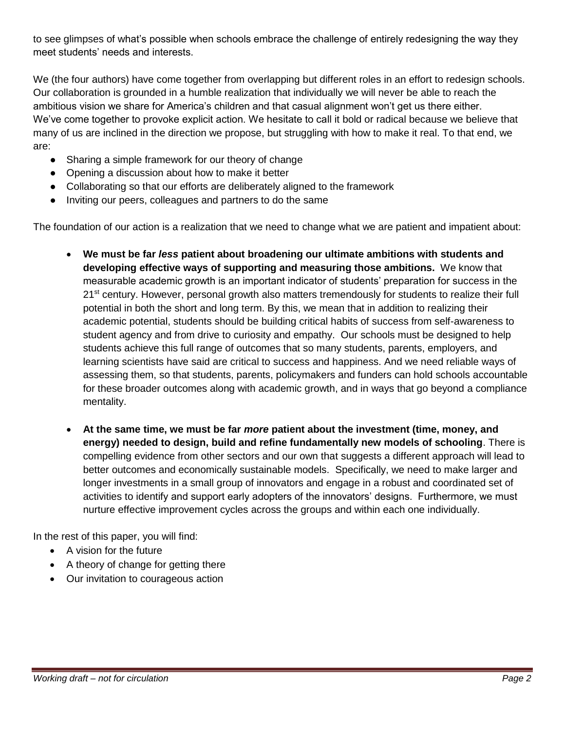to see glimpses of what's possible when schools embrace the challenge of entirely redesigning the way they meet students' needs and interests.

We (the four authors) have come together from overlapping but different roles in an effort to redesign schools. Our collaboration is grounded in a humble realization that individually we will never be able to reach the ambitious vision we share for America's children and that casual alignment won't get us there either. We've come together to provoke explicit action. We hesitate to call it bold or radical because we believe that many of us are inclined in the direction we propose, but struggling with how to make it real. To that end, we are:

- Sharing a simple framework for our theory of change
- Opening a discussion about how to make it better
- Collaborating so that our efforts are deliberately aligned to the framework
- Inviting our peers, colleagues and partners to do the same

The foundation of our action is a realization that we need to change what we are patient and impatient about:

- **We must be far** *less* **patient about broadening our ultimate ambitions with students and developing effective ways of supporting and measuring those ambitions.** We know that measurable academic growth is an important indicator of students' preparation for success in the 21<sup>st</sup> century. However, personal growth also matters tremendously for students to realize their full potential in both the short and long term. By this, we mean that in addition to realizing their academic potential, students should be building critical habits of success from self-awareness to student agency and from drive to curiosity and empathy. Our schools must be designed to help students achieve this full range of outcomes that so many students, parents, employers, and learning scientists have said are critical to success and happiness. And we need reliable ways of assessing them, so that students, parents, policymakers and funders can hold schools accountable for these broader outcomes along with academic growth, and in ways that go beyond a compliance mentality.
- **At the same time, we must be far** *more* **patient about the investment (time, money, and energy) needed to design, build and refine fundamentally new models of schooling**. There is compelling evidence from other sectors and our own that suggests a different approach will lead to better outcomes and economically sustainable models. Specifically, we need to make larger and longer investments in a small group of innovators and engage in a robust and coordinated set of activities to identify and support early adopters of the innovators' designs. Furthermore, we must nurture effective improvement cycles across the groups and within each one individually.

In the rest of this paper, you will find:

- A vision for the future
- A theory of change for getting there
- Our invitation to courageous action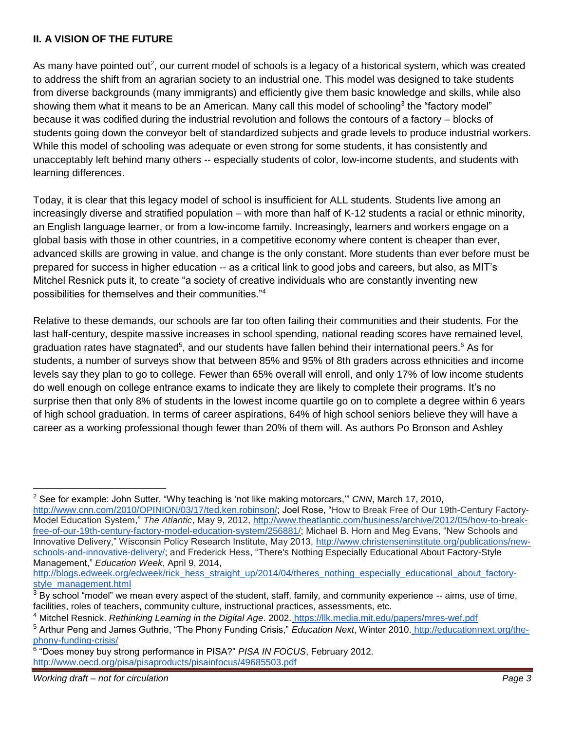#### **II. A VISION OF THE FUTURE**

As many have pointed out<sup>2</sup>, our current model of schools is a legacy of a historical system, which was created to address the shift from an agrarian society to an industrial one. This model was designed to take students from diverse backgrounds (many immigrants) and efficiently give them basic knowledge and skills, while also showing them what it means to be an American. Many call this model of schooling<sup>3</sup> the "factory model" because it was codified during the industrial revolution and follows the contours of a factory – blocks of students going down the conveyor belt of standardized subjects and grade levels to produce industrial workers. While this model of schooling was adequate or even strong for some students, it has consistently and unacceptably left behind many others -- especially students of color, low-income students, and students with learning differences.

Today, it is clear that this legacy model of school is insufficient for ALL students. Students live among an increasingly diverse and stratified population – with more than half of K-12 students a racial or ethnic minority, an English language learner, or from a low-income family. Increasingly, learners and workers engage on a global basis with those in other countries, in a competitive economy where content is cheaper than ever, advanced skills are growing in value, and change is the only constant. More students than ever before must be prepared for success in higher education -- as a critical link to good jobs and careers, but also, as MIT's Mitchel Resnick puts it, to create "a society of creative individuals who are constantly inventing new possibilities for themselves and their communities."<sup>4</sup>

Relative to these demands, our schools are far too often failing their communities and their students. For the last half-century, despite massive increases in school spending, national reading scores have remained level, graduation rates have stagnated<sup>5</sup>, and our students have fallen behind their international peers.<sup>6</sup> As for students, a number of surveys show that between 85% and 95% of 8th graders across ethnicities and income levels say they plan to go to college. Fewer than 65% overall will enroll, and only 17% of low income students do well enough on college entrance exams to indicate they are likely to complete their programs. It's no surprise then that only 8% of students in the lowest income quartile go on to complete a degree within 6 years of high school graduation. In terms of career aspirations, 64% of high school seniors believe they will have a career as a working professional though fewer than 20% of them will. As authors Po Bronson and Ashley

[http://blogs.edweek.org/edweek/rick\\_hess\\_straight\\_up/2014/04/theres\\_nothing\\_especially\\_educational\\_about\\_factory](http://blogs.edweek.org/edweek/rick_hess_straight_up/2014/04/theres_nothing_especially_educational_about_factory-style_management.html)[style\\_management.html](http://blogs.edweek.org/edweek/rick_hess_straight_up/2014/04/theres_nothing_especially_educational_about_factory-style_management.html)

 $\overline{a}$ <sup>2</sup> See for example: John Sutter, "Why teaching is 'not like making motorcars,'" *CNN*, March 17, 2010[,](http://www.cnn.com/2010/OPINION/03/17/ted.ken.robinson/) [http://www.cnn.com/2010/OPINION/03/17/ted.ken.robinson/;](http://www.cnn.com/2010/OPINION/03/17/ted.ken.robinson/) Joel Rose, "How to Break Free of Our 19th-Century Factory-Model Education System," *The Atlantic*, May 9, 2012[,](http://www.theatlantic.com/business/archive/2012/05/how-to-break-free-of-our-19th-century-factory-model-education-system/256881/) [http://www.theatlantic.com/business/archive/2012/05/how-to-break](http://www.theatlantic.com/business/archive/2012/05/how-to-break-free-of-our-19th-century-factory-model-education-system/256881/)[free-of-our-19th-century-factory-model-education-system/256881/;](http://www.theatlantic.com/business/archive/2012/05/how-to-break-free-of-our-19th-century-factory-model-education-system/256881/) Michael B. Horn and Meg Evans, "New Schools and Innovative Delivery," Wisconsin Policy Research Institute, May 2013, [http://www.christenseninstitute.org/publications/new](http://www.christenseninstitute.org/publications/new-schools-and-innovative-delivery/)[schools-and-innovative-delivery/;](http://www.christenseninstitute.org/publications/new-schools-and-innovative-delivery/) and Frederick Hess, "There's Nothing Especially Educational About Factory-Style Management," *Education Week*, April 9, 2014[,](http://blogs.edweek.org/edweek/rick_hess_straight_up/2014/04/theres_nothing_especially_educational_about_factory-style_management.html)

 $3$  By school "model" we mean every aspect of the student, staff, family, and community experience  $-$ - aims, use of time, facilities, roles of teachers, community culture, instructional practices, assessments, etc.

<sup>4</sup> Mitchel Resnick. *Rethinking Learning in the Digital Age*. 2002. <https://llk.media.mit.edu/papers/mres-wef.pdf>

<sup>5</sup> Arthur Peng and James Guthrie, "The Phony Funding Crisis," *Education Next*, Winter 2010[.](http://educationnext.org/the-phony-funding-crisis/) [http://educationnext.org/the](http://educationnext.org/the-phony-funding-crisis/)[phony-funding-crisis/](http://educationnext.org/the-phony-funding-crisis/)

<sup>6</sup> "Does money buy strong performance in PISA?" *PISA IN FOCUS*, February 2012[.](http://www.oecd.org/pisa/pisaproducts/pisainfocus/49685503.pdf) <http://www.oecd.org/pisa/pisaproducts/pisainfocus/49685503.pdf>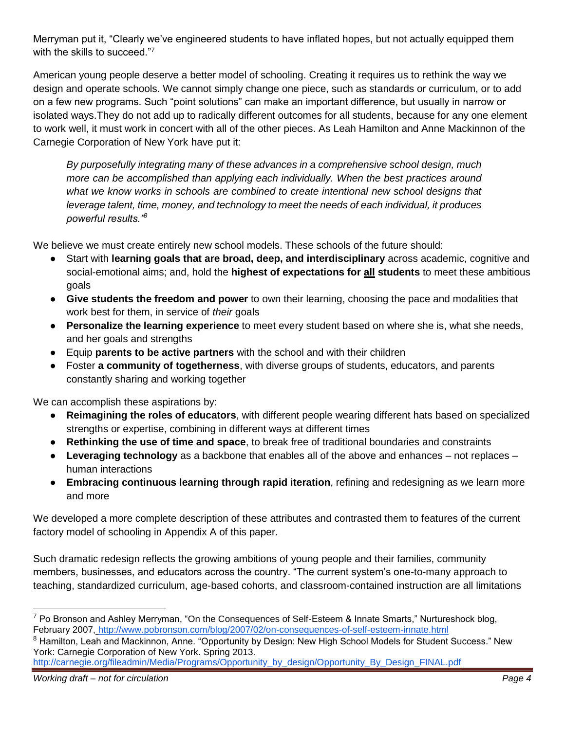Merryman put it, "Clearly we've engineered students to have inflated hopes, but not actually equipped them with the skills to succeed."<sup>7</sup>

American young people deserve a better model of schooling. Creating it requires us to rethink the way we design and operate schools. We cannot simply change one piece, such as standards or curriculum, or to add on a few new programs. Such "point solutions" can make an important difference, but usually in narrow or isolated ways.They do not add up to radically different outcomes for all students, because for any one element to work well, it must work in concert with all of the other pieces. As Leah Hamilton and Anne Mackinnon of the Carnegie Corporation of New York have put it:

*By purposefully integrating many of these advances in a comprehensive school design, much more can be accomplished than applying each individually. When the best practices around what we know works in schools are combined to create intentional new school designs that leverage talent, time, money, and technology to meet the needs of each individual, it produces powerful results."<sup>8</sup>*

We believe we must create entirely new school models. These schools of the future should:

- Start with **learning goals that are broad, deep, and interdisciplinary** across academic, cognitive and social-emotional aims; and, hold the **highest of expectations for all students** to meet these ambitious goals
- **Give students the freedom and power** to own their learning, choosing the pace and modalities that work best for them, in service of *their* goals
- **Personalize the learning experience** to meet every student based on where she is, what she needs, and her goals and strengths
- Equip **parents to be active partners** with the school and with their children
- Foster **a community of togetherness**, with diverse groups of students, educators, and parents constantly sharing and working together

We can accomplish these aspirations by:

- **Reimagining the roles of educators**, with different people wearing different hats based on specialized strengths or expertise, combining in different ways at different times
- **Rethinking the use of time and space**, to break free of traditional boundaries and constraints
- **Leveraging technology** as a backbone that enables all of the above and enhances not replaces human interactions
- **Embracing continuous learning through rapid iteration**, refining and redesigning as we learn more and more

We developed a more complete description of these attributes and contrasted them to features of the current factory model of schooling in Appendix A of this paper.

Such dramatic redesign reflects the growing ambitions of young people and their families, community members, businesses, and educators across the country. "The current system's one-to-many approach to teaching, standardized curriculum, age-based cohorts, and classroom-contained instruction are all limitations

<sup>8</sup> Hamilton, Leah and Mackinnon, Anne. "Opportunity by Design: New High School Models for Student Success." New [York: Carnegie Corporation of New York. Spring 2013.](http://www.slideshare.net/aliciamariadelarosa/achievement-first-greenfield)

[http://carnegie.org/fileadmin/Media/Programs/Opportunity\\_by\\_design/Opportunity\\_By\\_Design\\_FINAL.pdf](http://www.slideshare.net/aliciamariadelarosa/achievement-first-greenfield)

 $7$  Po Bronson and Ashley Merryman, "On the Consequences of Self-Esteem & Innate Smarts," Nurtureshock blog, February 2007, <http://www.pobronson.com/blog/2007/02/on-consequences-of-self-esteem-innate.html>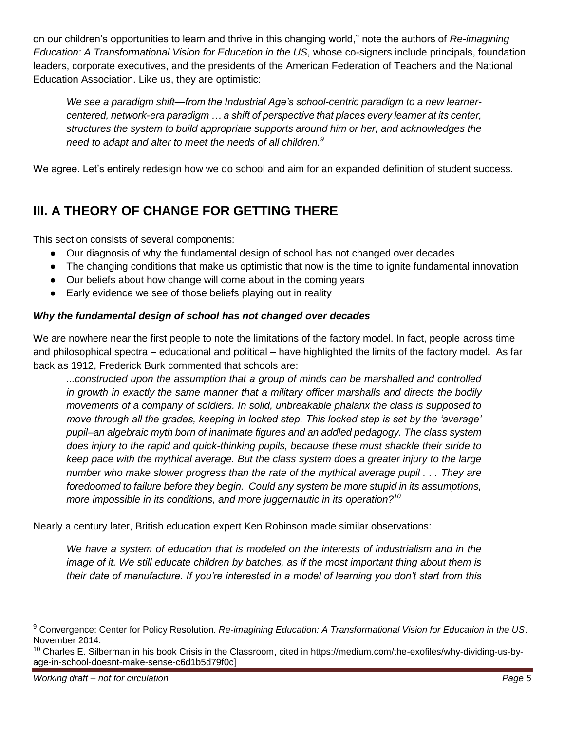on our children's opportunities to learn and thrive in this changing world," note the authors of *Re-imagining Education: A Transformational Vision for Education in the US*, whose co-signers include principals, foundation leaders, corporate executives, and the presidents of the American Federation of Teachers and the National Education Association. Like us, they are optimistic:

*We see a paradigm shift—from the Industrial Age's school-centric paradigm to a new learnercentered, network-era paradigm … a shift of perspective that places every learner at its center, structures the system to build appropriate supports around him or her, and acknowledges the need to adapt and alter to meet the needs of all children.<sup>9</sup>*

We agree. Let's entirely redesign how we do school and aim for an expanded definition of student success.

# **III. A THEORY OF CHANGE FOR GETTING THERE**

This section consists of several components:

- Our diagnosis of why the fundamental design of school has not changed over decades
- The changing conditions that make us optimistic that now is the time to ignite fundamental innovation
- Our beliefs about how change will come about in the coming years
- Early evidence we see of those beliefs playing out in reality

# *Why the fundamental design of school has not changed over decades*

We are nowhere near the first people to note the limitations of the factory model. In fact, people across time and philosophical spectra – educational and political – have highlighted the limits of the factory model. As far back as 1912, Frederick Burk commented that schools are:

*...constructed upon the assumption that a group of minds can be marshalled and controlled in growth in exactly the same manner that a military officer marshalls and directs the bodily movements of a company of soldiers. In solid, unbreakable phalanx the class is supposed to move through all the grades, keeping in locked step. This locked step is set by the 'average' pupil–an algebraic myth born of inanimate figures and an addled pedagogy. The class system does injury to the rapid and quick-thinking pupils, because these must shackle their stride to keep pace with the mythical average. But the class system does a greater injury to the large number who make slower progress than the rate of the mythical average pupil . . . They are foredoomed to failure before they begin. Could any system be more stupid in its assumptions, more impossible in its conditions, and more juggernautic in its operation?<sup>10</sup>*

Nearly a century later, British education expert Ken Robinson made similar observations:

*We have a system of education that is modeled on the interests of industrialism and in the image of it. We still educate children by batches, as if the most important thing about them is their date of manufacture. If you're interested in a model of learning you don't start from this* 

 $\overline{a}$ 

<sup>9</sup> Convergence: Center for Policy Resolution. *Re-imagining Education: A Transformational Vision for Education in the US*. November 2014.

<sup>&</sup>lt;sup>10</sup> Charles E. Silberman in his book Crisis in the Classroom, cited in https://medium.com/the-exofiles/why-dividing-us-byage-in-school-doesnt-make-sense-c6d1b5d79f0c]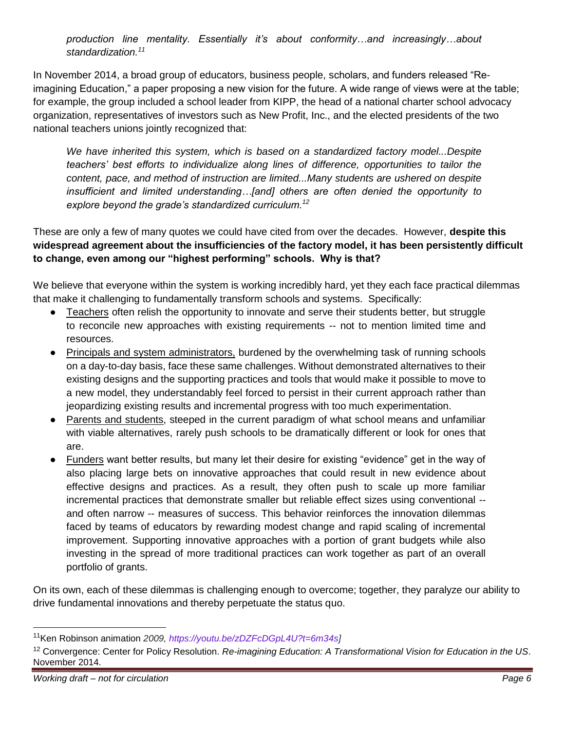*production line mentality. Essentially it's about conformity…and increasingly…about standardization.<sup>11</sup>*

In November 2014, a broad group of educators, business people, scholars, and funders released "Reimagining Education," a paper proposing a new vision for the future. A wide range of views were at the table; for example, the group included a school leader from KIPP, the head of a national charter school advocacy organization, representatives of investors such as New Profit, Inc., and the elected presidents of the two national teachers unions jointly recognized that:

*We have inherited this system, which is based on a standardized factory model...Despite teachers' best efforts to individualize along lines of difference, opportunities to tailor the content, pace, and method of instruction are limited...Many students are ushered on despite insufficient and limited understanding…[and] others are often denied the opportunity to explore beyond the grade's standardized curriculum.<sup>12</sup>*

These are only a few of many quotes we could have cited from over the decades. However, **despite this widespread agreement about the insufficiencies of the factory model, it has been persistently difficult to change, even among our "highest performing" schools. Why is that?**

We believe that everyone within the system is working incredibly hard, yet they each face practical dilemmas that make it challenging to fundamentally transform schools and systems. Specifically:

- Teachers often relish the opportunity to innovate and serve their students better, but struggle to reconcile new approaches with existing requirements -- not to mention limited time and resources.
- Principals and system administrators, burdened by the overwhelming task of running schools on a day-to-day basis, face these same challenges. Without demonstrated alternatives to their existing designs and the supporting practices and tools that would make it possible to move to a new model, they understandably feel forced to persist in their current approach rather than jeopardizing existing results and incremental progress with too much experimentation.
- Parents and students, steeped in the current paradigm of what school means and unfamiliar with viable alternatives, rarely push schools to be dramatically different or look for ones that are.
- Funders want better results, but many let their desire for existing "evidence" get in the way of also placing large bets on innovative approaches that could result in new evidence about effective designs and practices. As a result, they often push to scale up more familiar incremental practices that demonstrate smaller but reliable effect sizes using conventional - and often narrow -- measures of success. This behavior reinforces the innovation dilemmas faced by teams of educators by rewarding modest change and rapid scaling of incremental improvement. Supporting innovative approaches with a portion of grant budgets while also investing in the spread of more traditional practices can work together as part of an overall portfolio of grants.

On its own, each of these dilemmas is challenging enough to overcome; together, they paralyze our ability to drive fundamental innovations and thereby perpetuate the status quo.

<sup>11</sup>Ken Robinson animation *2009, [https://youtu.be/zDZFcDGpL4U?t=6m34s\]](https://youtu.be/zDZFcDGpL4U?t=6m34s)*

<sup>12</sup> Convergence: Center for Policy Resolution. *Re-imagining Education: A Transformational Vision for Education in the US*. November 2014.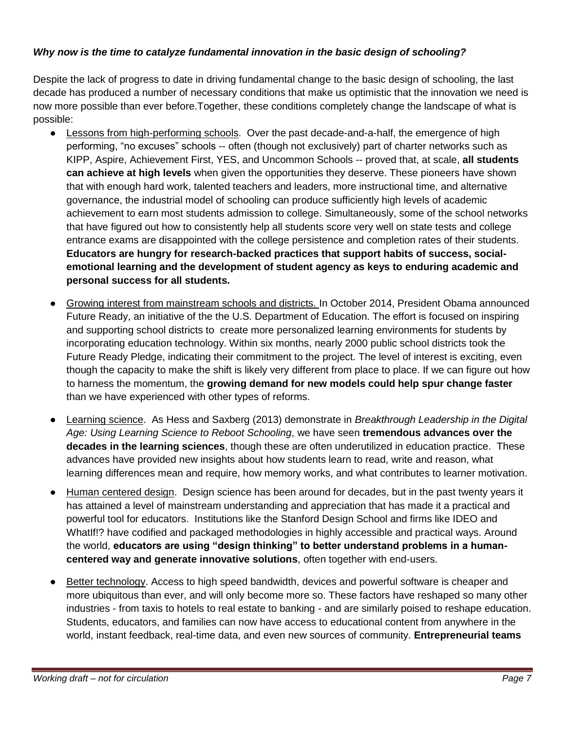#### *Why now is the time to catalyze fundamental innovation in the basic design of schooling?*

Despite the lack of progress to date in driving fundamental change to the basic design of schooling, the last decade has produced a number of necessary conditions that make us optimistic that the innovation we need is now more possible than ever before.Together, these conditions completely change the landscape of what is possible:

- Lessons from high-performing schools. Over the past decade-and-a-half, the emergence of high performing, "no excuses" schools -- often (though not exclusively) part of charter networks such as KIPP, Aspire, Achievement First, YES, and Uncommon Schools -- proved that, at scale, **all students can achieve at high levels** when given the opportunities they deserve. These pioneers have shown that with enough hard work, talented teachers and leaders, more instructional time, and alternative governance, the industrial model of schooling can produce sufficiently high levels of academic achievement to earn most students admission to college. Simultaneously, some of the school networks that have figured out how to consistently help all students score very well on state tests and college entrance exams are disappointed with the college persistence and completion rates of their students. **Educators are hungry for research-backed practices that support habits of success, socialemotional learning and the development of student agency as keys to enduring academic and personal success for all students.**
- Growing interest from mainstream schools and districts. In October 2014, President Obama announced Future Ready, an initiative of the the U.S. Department of Education. The effort is focused on inspiring and supporting school districts to create more personalized learning environments for students by incorporating education technology. Within six months, nearly 2000 public school districts took the Future Ready Pledge, indicating their commitment to the project. The level of interest is exciting, even though the capacity to make the shift is likely very different from place to place. If we can figure out how to harness the momentum, the **growing demand for new models could help spur change faster**  than we have experienced with other types of reforms.
- Learning science. As Hess and Saxberg (2013) demonstrate in *Breakthrough Leadership in the Digital Age: Using Learning Science to Reboot Schooling*, we have seen **tremendous advances over the decades in the learning sciences**, though these are often underutilized in education practice. These advances have provided new insights about how students learn to read, write and reason, what learning differences mean and require, how memory works, and what contributes to learner motivation.
- Human centered design. Design science has been around for decades, but in the past twenty years it has attained a level of mainstream understanding and appreciation that has made it a practical and powerful tool for educators. Institutions like the Stanford Design School and firms like IDEO and WhatIf!? have codified and packaged methodologies in highly accessible and practical ways. Around the world, **educators are using "design thinking" to better understand problems in a humancentered way and generate innovative solutions**, often together with end-users.
- Better technology. Access to high speed bandwidth, devices and powerful software is cheaper and more ubiquitous than ever, and will only become more so. These factors have reshaped so many other industries - from taxis to hotels to real estate to banking - and are similarly poised to reshape education. Students, educators, and families can now have access to educational content from anywhere in the world, instant feedback, real-time data, and even new sources of community. **Entrepreneurial teams**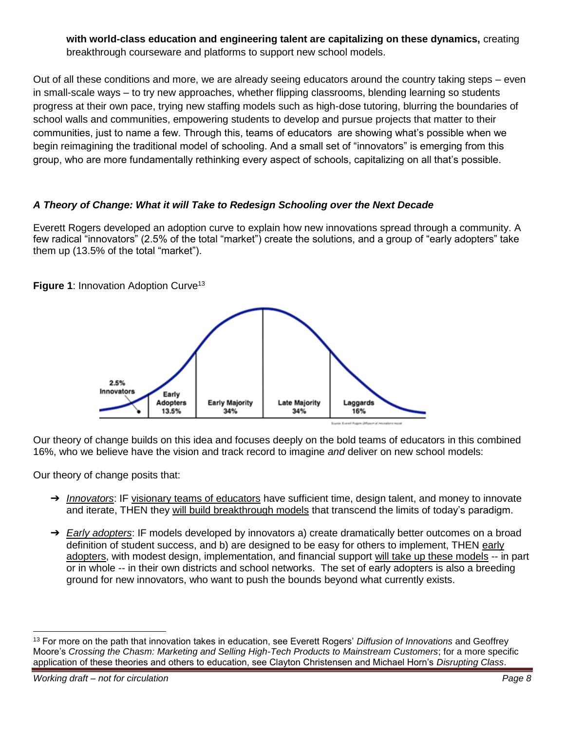**with world-class education and engineering talent are capitalizing on these dynamics,** creating breakthrough courseware and platforms to support new school models.

Out of all these conditions and more, we are already seeing educators around the country taking steps – even in small-scale ways – to try new approaches, whether flipping classrooms, blending learning so students progress at their own pace, trying new staffing models such as high-dose tutoring, blurring the boundaries of school walls and communities, empowering students to develop and pursue projects that matter to their communities, just to name a few. Through this, teams of educators are showing what's possible when we begin reimagining the traditional model of schooling. And a small set of "innovators" is emerging from this group, who are more fundamentally rethinking every aspect of schools, capitalizing on all that's possible.

#### *A Theory of Change: What it will Take to Redesign Schooling over the Next Decade*

Everett Rogers developed an adoption curve to explain how new innovations spread through a community. A few radical "innovators" (2.5% of the total "market") create the solutions, and a group of "early adopters" take them up (13.5% of the total "market").

**Figure 1: Innovation Adoption Curve<sup>13</sup>** 



Our theory of change builds on this idea and focuses deeply on the bold teams of educators in this combined 16%, who we believe have the vision and track record to imagine *and* deliver on new school models:

Our theory of change posits that:

- ➔ *Innovators*: IF visionary teams of educators have sufficient time, design talent, and money to innovate and iterate, THEN they will build breakthrough models that transcend the limits of today's paradigm.
- ➔ *Early adopters*: IF models developed by innovators a) create dramatically better outcomes on a broad definition of student success, and b) are designed to be easy for others to implement, THEN early adopters, with modest design, implementation, and financial support will take up these models -- in part or in whole -- in their own districts and school networks. The set of early adopters is also a breeding ground for new innovators, who want to push the bounds beyond what currently exists.

 $\overline{a}$ 

<sup>13</sup> For more on the path that innovation takes in education, see Everett Rogers' *Diffusion of Innovations* and Geoffrey Moore's *Crossing the Chasm: Marketing and Selling High-Tech Products to Mainstream Customers*; for a more specific application of these theories and others to education, see Clayton Christensen and Michael Horn's *Disrupting Class*.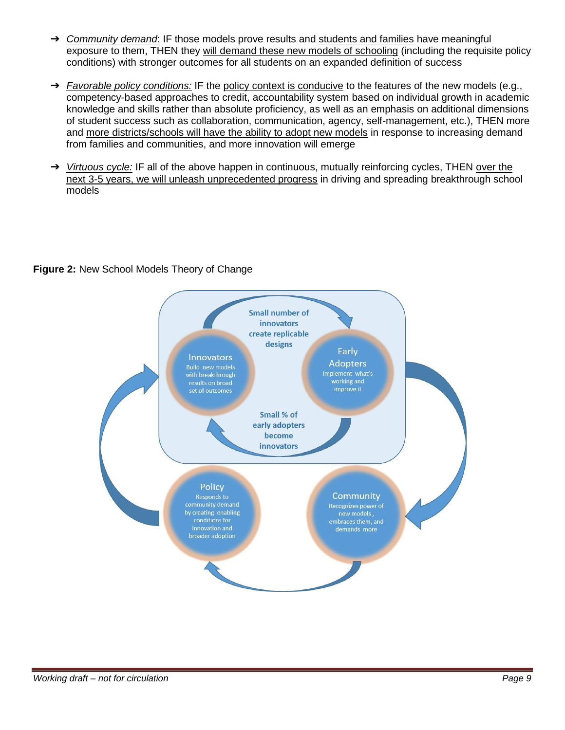- ➔ *Community demand*: IF those models prove results and students and families have meaningful exposure to them, THEN they will demand these new models of schooling (including the requisite policy conditions) with stronger outcomes for all students on an expanded definition of success
- → *Favorable policy conditions:* IF the policy context is conducive to the features of the new models (e.g., competency-based approaches to credit, accountability system based on individual growth in academic knowledge and skills rather than absolute proficiency, as well as an emphasis on additional dimensions of student success such as collaboration, communication, agency, self-management, etc.), THEN more and more districts/schools will have the ability to adopt new models in response to increasing demand from families and communities, and more innovation will emerge
- → *Virtuous cycle:* IF all of the above happen in continuous, mutually reinforcing cycles, THEN over the next 3-5 years, we will unleash unprecedented progress in driving and spreading breakthrough school models

#### **Figure 2:** New School Models Theory of Change

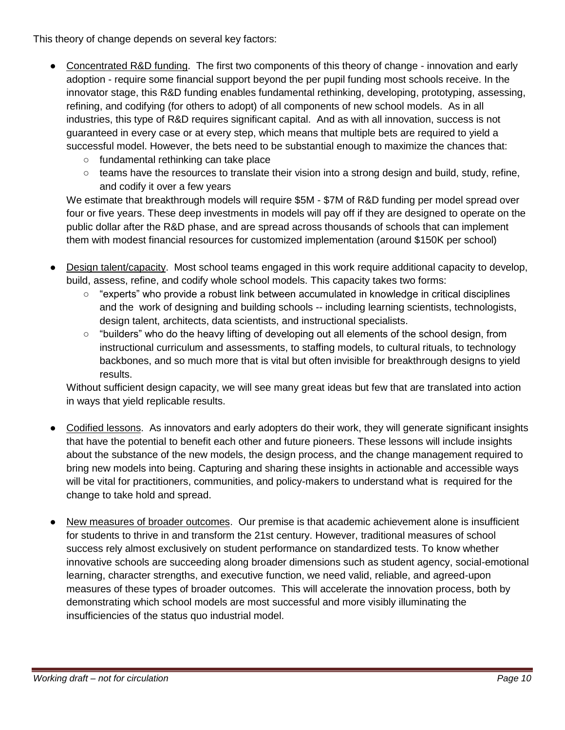This theory of change depends on several key factors:

- Concentrated R&D funding. The first two components of this theory of change innovation and early adoption - require some financial support beyond the per pupil funding most schools receive. In the innovator stage, this R&D funding enables fundamental rethinking, developing, prototyping, assessing, refining, and codifying (for others to adopt) of all components of new school models. As in all industries, this type of R&D requires significant capital. And as with all innovation, success is not guaranteed in every case or at every step, which means that multiple bets are required to yield a successful model. However, the bets need to be substantial enough to maximize the chances that:
	- fundamental rethinking can take place
	- $\circ$  teams have the resources to translate their vision into a strong design and build, study, refine, and codify it over a few years

We estimate that breakthrough models will require \$5M - \$7M of R&D funding per model spread over four or five years. These deep investments in models will pay off if they are designed to operate on the public dollar after the R&D phase, and are spread across thousands of schools that can implement them with modest financial resources for customized implementation (around \$150K per school)

- Design talent/capacity. Most school teams engaged in this work require additional capacity to develop, build, assess, refine, and codify whole school models. This capacity takes two forms:
	- $\circ$  "experts" who provide a robust link between accumulated in knowledge in critical disciplines and the work of designing and building schools -- including learning scientists, technologists, design talent, architects, data scientists, and instructional specialists.
	- "builders" who do the heavy lifting of developing out all elements of the school design, from instructional curriculum and assessments, to staffing models, to cultural rituals, to technology backbones, and so much more that is vital but often invisible for breakthrough designs to yield results.

Without sufficient design capacity, we will see many great ideas but few that are translated into action in ways that yield replicable results.

- Codified lessons. As innovators and early adopters do their work, they will generate significant insights that have the potential to benefit each other and future pioneers. These lessons will include insights about the substance of the new models, the design process, and the change management required to bring new models into being. Capturing and sharing these insights in actionable and accessible ways will be vital for practitioners, communities, and policy-makers to understand what is required for the change to take hold and spread.
- New measures of broader outcomes. Our premise is that academic achievement alone is insufficient for students to thrive in and transform the 21st century. However, traditional measures of school success rely almost exclusively on student performance on standardized tests. To know whether innovative schools are succeeding along broader dimensions such as student agency, social-emotional learning, character strengths, and executive function, we need valid, reliable, and agreed-upon measures of these types of broader outcomes. This will accelerate the innovation process, both by demonstrating which school models are most successful and more visibly illuminating the insufficiencies of the status quo industrial model.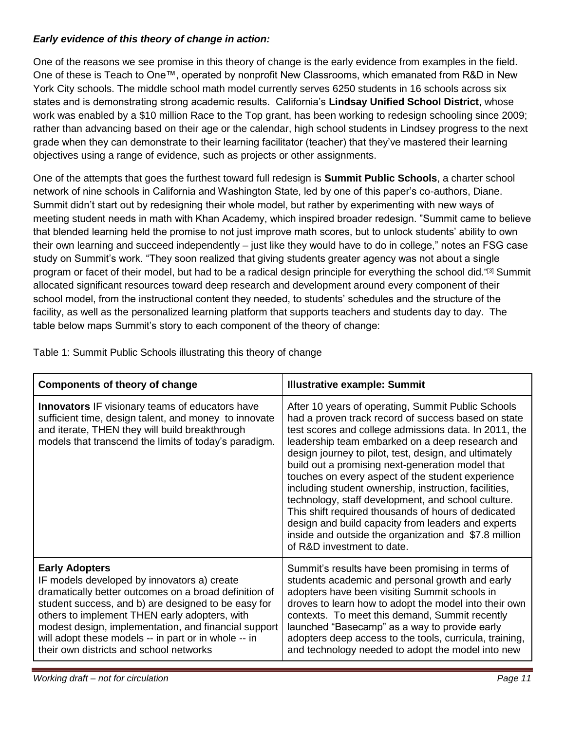#### *Early evidence of this theory of change in action:*

One of the reasons we see promise in this theory of change is the early evidence from examples in the field. One of these is Teach to One™, operated by nonprofit New Classrooms, which emanated from R&D in New York City schools. The middle school math model currently serves 6250 students in 16 schools across six states and is demonstrating strong academic results. California's **Lindsay Unified School District**, whose work was enabled by a \$10 million Race to the Top grant, has been working to redesign schooling since 2009; rather than advancing based on their age or the calendar, high school students in Lindsey progress to the next grade when they can demonstrate to their learning facilitator (teacher) that they've mastered their learning objectives using a range of evidence, such as projects or other assignments.

One of the attempts that goes the furthest toward full redesign is **Summit Public Schools**, a charter school network of nine schools in California and Washington State, led by one of this paper's co-authors, Diane. Summit didn't start out by redesigning their whole model, but rather by experimenting with new ways of meeting student needs in math with Khan Academy, which inspired broader redesign. "Summit came to believe that blended learning held the promise to not just improve math scores, but to unlock students' ability to own their own learning and succeed independently – just like they would have to do in college," notes an FSG case study on Summit's work. "They soon realized that giving students greater agency was not about a single program or facet of their model, but had to be a radical design principle for everything the school did." [3] Summit allocated significant resources toward deep research and development around every component of their school model, from the instructional content they needed, to students' schedules and the structure of the facility, as well as the personalized learning platform that supports teachers and students day to day. The table below maps Summit's story to each component of the theory of change:

| <b>Components of theory of change</b>                                                                                                                                                                                                                                                                                                                                                            | <b>Illustrative example: Summit</b>                                                                                                                                                                                                                                                                                                                                                                                                                                                                                                                                                                                                                                                                        |
|--------------------------------------------------------------------------------------------------------------------------------------------------------------------------------------------------------------------------------------------------------------------------------------------------------------------------------------------------------------------------------------------------|------------------------------------------------------------------------------------------------------------------------------------------------------------------------------------------------------------------------------------------------------------------------------------------------------------------------------------------------------------------------------------------------------------------------------------------------------------------------------------------------------------------------------------------------------------------------------------------------------------------------------------------------------------------------------------------------------------|
| <b>Innovators IF visionary teams of educators have</b><br>sufficient time, design talent, and money to innovate<br>and iterate, THEN they will build breakthrough<br>models that transcend the limits of today's paradigm.                                                                                                                                                                       | After 10 years of operating, Summit Public Schools<br>had a proven track record of success based on state<br>test scores and college admissions data. In 2011, the<br>leadership team embarked on a deep research and<br>design journey to pilot, test, design, and ultimately<br>build out a promising next-generation model that<br>touches on every aspect of the student experience<br>including student ownership, instruction, facilities,<br>technology, staff development, and school culture.<br>This shift required thousands of hours of dedicated<br>design and build capacity from leaders and experts<br>inside and outside the organization and \$7.8 million<br>of R&D investment to date. |
| <b>Early Adopters</b><br>IF models developed by innovators a) create<br>dramatically better outcomes on a broad definition of<br>student success, and b) are designed to be easy for<br>others to implement THEN early adopters, with<br>modest design, implementation, and financial support<br>will adopt these models -- in part or in whole -- in<br>their own districts and school networks | Summit's results have been promising in terms of<br>students academic and personal growth and early<br>adopters have been visiting Summit schools in<br>droves to learn how to adopt the model into their own<br>contexts. To meet this demand, Summit recently<br>launched "Basecamp" as a way to provide early<br>adopters deep access to the tools, curricula, training,<br>and technology needed to adopt the model into new                                                                                                                                                                                                                                                                           |

Table 1: Summit Public Schools illustrating this theory of change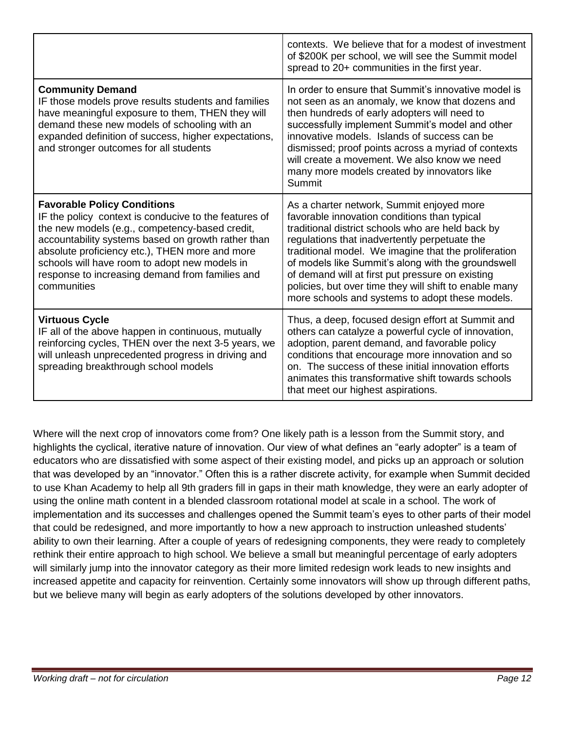|                                                                                                                                                                                                                                                                                                                                                                          | contexts. We believe that for a modest of investment<br>of \$200K per school, we will see the Summit model<br>spread to 20+ communities in the first year.                                                                                                                                                                                                                                                                                                                     |
|--------------------------------------------------------------------------------------------------------------------------------------------------------------------------------------------------------------------------------------------------------------------------------------------------------------------------------------------------------------------------|--------------------------------------------------------------------------------------------------------------------------------------------------------------------------------------------------------------------------------------------------------------------------------------------------------------------------------------------------------------------------------------------------------------------------------------------------------------------------------|
| <b>Community Demand</b><br>IF those models prove results students and families<br>have meaningful exposure to them, THEN they will<br>demand these new models of schooling with an<br>expanded definition of success, higher expectations,<br>and stronger outcomes for all students                                                                                     | In order to ensure that Summit's innovative model is<br>not seen as an anomaly, we know that dozens and<br>then hundreds of early adopters will need to<br>successfully implement Summit's model and other<br>innovative models. Islands of success can be<br>dismissed; proof points across a myriad of contexts<br>will create a movement. We also know we need<br>many more models created by innovators like<br>Summit                                                     |
| <b>Favorable Policy Conditions</b><br>IF the policy context is conducive to the features of<br>the new models (e.g., competency-based credit,<br>accountability systems based on growth rather than<br>absolute proficiency etc.), THEN more and more<br>schools will have room to adopt new models in<br>response to increasing demand from families and<br>communities | As a charter network, Summit enjoyed more<br>favorable innovation conditions than typical<br>traditional district schools who are held back by<br>regulations that inadvertently perpetuate the<br>traditional model. We imagine that the proliferation<br>of models like Summit's along with the groundswell<br>of demand will at first put pressure on existing<br>policies, but over time they will shift to enable many<br>more schools and systems to adopt these models. |
| <b>Virtuous Cycle</b><br>IF all of the above happen in continuous, mutually<br>reinforcing cycles, THEN over the next 3-5 years, we<br>will unleash unprecedented progress in driving and<br>spreading breakthrough school models                                                                                                                                        | Thus, a deep, focused design effort at Summit and<br>others can catalyze a powerful cycle of innovation,<br>adoption, parent demand, and favorable policy<br>conditions that encourage more innovation and so<br>on. The success of these initial innovation efforts<br>animates this transformative shift towards schools<br>that meet our highest aspirations.                                                                                                               |

Where will the next crop of innovators come from? One likely path is a lesson from the Summit story, and highlights the cyclical, iterative nature of innovation. Our view of what defines an "early adopter" is a team of educators who are dissatisfied with some aspect of their existing model, and picks up an approach or solution that was developed by an "innovator." Often this is a rather discrete activity, for example when Summit decided to use Khan Academy to help all 9th graders fill in gaps in their math knowledge, they were an early adopter of using the online math content in a blended classroom rotational model at scale in a school. The work of implementation and its successes and challenges opened the Summit team's eyes to other parts of their model that could be redesigned, and more importantly to how a new approach to instruction unleashed students' ability to own their learning. After a couple of years of redesigning components, they were ready to completely rethink their entire approach to high school. We believe a small but meaningful percentage of early adopters will similarly jump into the innovator category as their more limited redesign work leads to new insights and increased appetite and capacity for reinvention. Certainly some innovators will show up through different paths, but we believe many will begin as early adopters of the solutions developed by other innovators.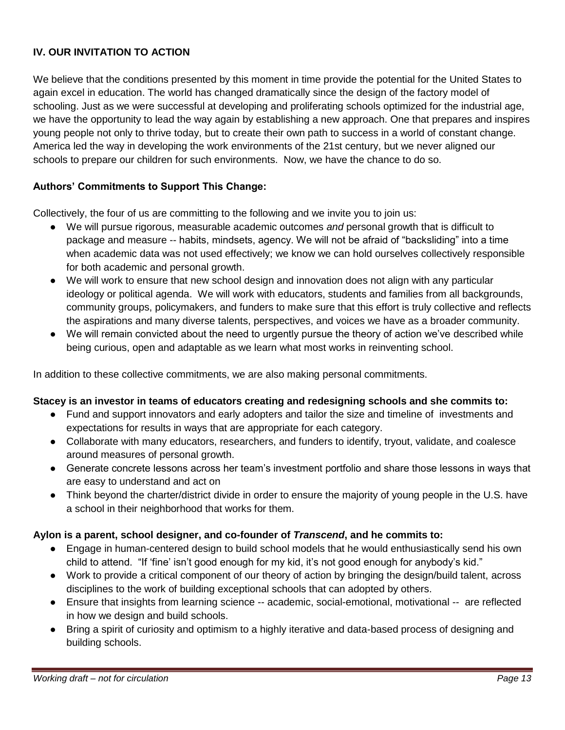# **IV. OUR INVITATION TO ACTION**

We believe that the conditions presented by this moment in time provide the potential for the United States to again excel in education. The world has changed dramatically since the design of the factory model of schooling. Just as we were successful at developing and proliferating schools optimized for the industrial age, we have the opportunity to lead the way again by establishing a new approach. One that prepares and inspires young people not only to thrive today, but to create their own path to success in a world of constant change. America led the way in developing the work environments of the 21st century, but we never aligned our schools to prepare our children for such environments. Now, we have the chance to do so.

#### **Authors' Commitments to Support This Change:**

Collectively, the four of us are committing to the following and we invite you to join us:

- We will pursue rigorous, measurable academic outcomes *and* personal growth that is difficult to package and measure -- habits, mindsets, agency. We will not be afraid of "backsliding" into a time when academic data was not used effectively; we know we can hold ourselves collectively responsible for both academic and personal growth.
- We will work to ensure that new school design and innovation does not align with any particular ideology or political agenda. We will work with educators, students and families from all backgrounds, community groups, policymakers, and funders to make sure that this effort is truly collective and reflects the aspirations and many diverse talents, perspectives, and voices we have as a broader community.
- We will remain convicted about the need to urgently pursue the theory of action we've described while being curious, open and adaptable as we learn what most works in reinventing school.

In addition to these collective commitments, we are also making personal commitments.

#### **Stacey is an investor in teams of educators creating and redesigning schools and she commits to:**

- Fund and support innovators and early adopters and tailor the size and timeline of investments and expectations for results in ways that are appropriate for each category.
- Collaborate with many educators, researchers, and funders to identify, tryout, validate, and coalesce around measures of personal growth.
- Generate concrete lessons across her team's investment portfolio and share those lessons in ways that are easy to understand and act on
- Think beyond the charter/district divide in order to ensure the majority of young people in the U.S. have a school in their neighborhood that works for them.

#### **Aylon is a parent, school designer, and co-founder of** *Transcend***, and he commits to:**

- Engage in human-centered design to build school models that he would enthusiastically send his own child to attend. "If 'fine' isn't good enough for my kid, it's not good enough for anybody's kid."
- Work to provide a critical component of our theory of action by bringing the design/build talent, across disciplines to the work of building exceptional schools that can adopted by others.
- Ensure that insights from learning science -- academic, social-emotional, motivational -- are reflected in how we design and build schools.
- Bring a spirit of curiosity and optimism to a highly iterative and data-based process of designing and building schools.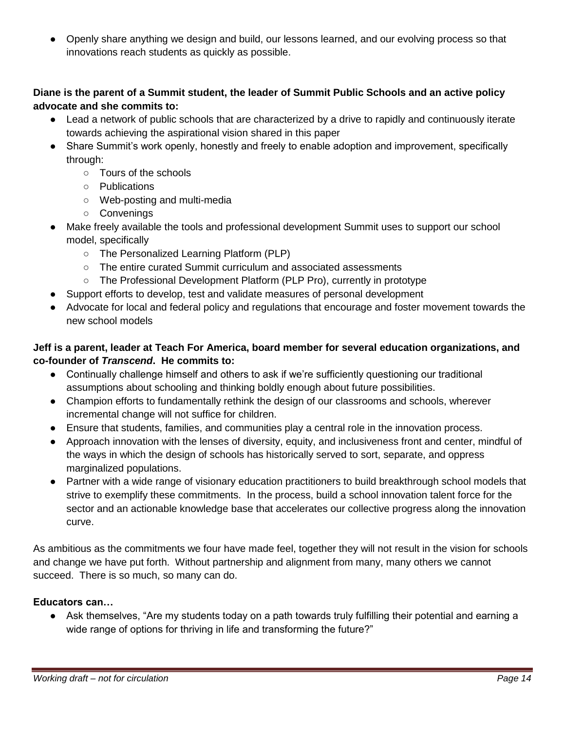● Openly share anything we design and build, our lessons learned, and our evolving process so that innovations reach students as quickly as possible.

#### **Diane is the parent of a Summit student, the leader of Summit Public Schools and an active policy advocate and she commits to:**

- Lead a network of public schools that are characterized by a drive to rapidly and continuously iterate towards achieving the aspirational vision shared in this paper
- Share Summit's work openly, honestly and freely to enable adoption and improvement, specifically through:
	- Tours of the schools
	- Publications
	- Web-posting and multi-media
	- Convenings
- Make freely available the tools and professional development Summit uses to support our school model, specifically
	- The Personalized Learning Platform (PLP)
	- The entire curated Summit curriculum and associated assessments
	- The Professional Development Platform (PLP Pro), currently in prototype
- Support efforts to develop, test and validate measures of personal development
- Advocate for local and federal policy and regulations that encourage and foster movement towards the new school models

#### **Jeff is a parent, leader at Teach For America, board member for several education organizations, and co-founder of** *Transcend***. He commits to:**

- Continually challenge himself and others to ask if we're sufficiently questioning our traditional assumptions about schooling and thinking boldly enough about future possibilities.
- Champion efforts to fundamentally rethink the design of our classrooms and schools, wherever incremental change will not suffice for children.
- Ensure that students, families, and communities play a central role in the innovation process.
- Approach innovation with the lenses of diversity, equity, and inclusiveness front and center, mindful of the ways in which the design of schools has historically served to sort, separate, and oppress marginalized populations.
- Partner with a wide range of visionary education practitioners to build breakthrough school models that strive to exemplify these commitments. In the process, build a school innovation talent force for the sector and an actionable knowledge base that accelerates our collective progress along the innovation curve.

As ambitious as the commitments we four have made feel, together they will not result in the vision for schools and change we have put forth. Without partnership and alignment from many, many others we cannot succeed. There is so much, so many can do.

#### **Educators can…**

• Ask themselves, "Are my students today on a path towards truly fulfilling their potential and earning a wide range of options for thriving in life and transforming the future?"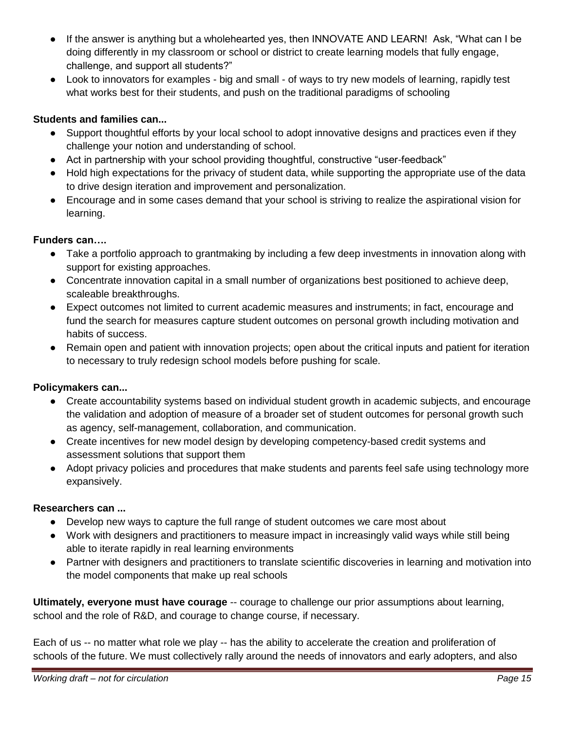- If the answer is anything but a wholehearted yes, then INNOVATE AND LEARN! Ask, "What can I be doing differently in my classroom or school or district to create learning models that fully engage, challenge, and support all students?"
- Look to innovators for examples big and small of ways to try new models of learning, rapidly test what works best for their students, and push on the traditional paradigms of schooling

# **Students and families can...**

- Support thoughtful efforts by your local school to adopt innovative designs and practices even if they challenge your notion and understanding of school.
- Act in partnership with your school providing thoughtful, constructive "user-feedback"
- Hold high expectations for the privacy of student data, while supporting the appropriate use of the data to drive design iteration and improvement and personalization.
- Encourage and in some cases demand that your school is striving to realize the aspirational vision for learning.

# **Funders can….**

- Take a portfolio approach to grantmaking by including a few deep investments in innovation along with support for existing approaches.
- Concentrate innovation capital in a small number of organizations best positioned to achieve deep, scaleable breakthroughs.
- Expect outcomes not limited to current academic measures and instruments; in fact, encourage and fund the search for measures capture student outcomes on personal growth including motivation and habits of success.
- Remain open and patient with innovation projects; open about the critical inputs and patient for iteration to necessary to truly redesign school models before pushing for scale.

#### **Policymakers can...**

- Create accountability systems based on individual student growth in academic subjects, and encourage the validation and adoption of measure of a broader set of student outcomes for personal growth such as agency, self-management, collaboration, and communication.
- Create incentives for new model design by developing competency-based credit systems and assessment solutions that support them
- Adopt privacy policies and procedures that make students and parents feel safe using technology more expansively.

#### **Researchers can ...**

- Develop new ways to capture the full range of student outcomes we care most about
- Work with designers and practitioners to measure impact in increasingly valid ways while still being able to iterate rapidly in real learning environments
- Partner with designers and practitioners to translate scientific discoveries in learning and motivation into the model components that make up real schools

**Ultimately, everyone must have courage** -- courage to challenge our prior assumptions about learning, school and the role of R&D, and courage to change course, if necessary.

Each of us -- no matter what role we play -- has the ability to accelerate the creation and proliferation of schools of the future. We must collectively rally around the needs of innovators and early adopters, and also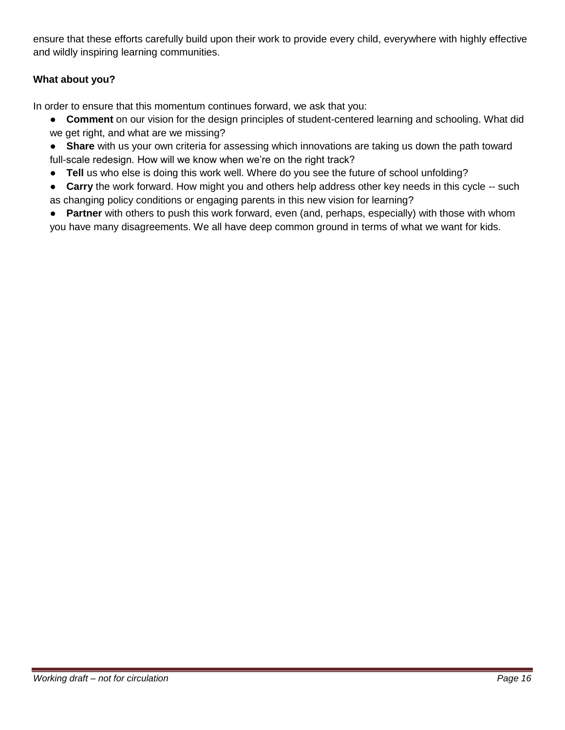ensure that these efforts carefully build upon their work to provide every child, everywhere with highly effective and wildly inspiring learning communities.

# **What about you?**

In order to ensure that this momentum continues forward, we ask that you:

- **Comment** on our vision for the design principles of student-centered learning and schooling. What did we get right, and what are we missing?
- **Share** with us your own criteria for assessing which innovations are taking us down the path toward full-scale redesign. How will we know when we're on the right track?
- **Tell** us who else is doing this work well. Where do you see the future of school unfolding?
- **Carry** the work forward. How might you and others help address other key needs in this cycle -- such as changing policy conditions or engaging parents in this new vision for learning?
- **Partner** with others to push this work forward, even (and, perhaps, especially) with those with whom you have many disagreements. We all have deep common ground in terms of what we want for kids.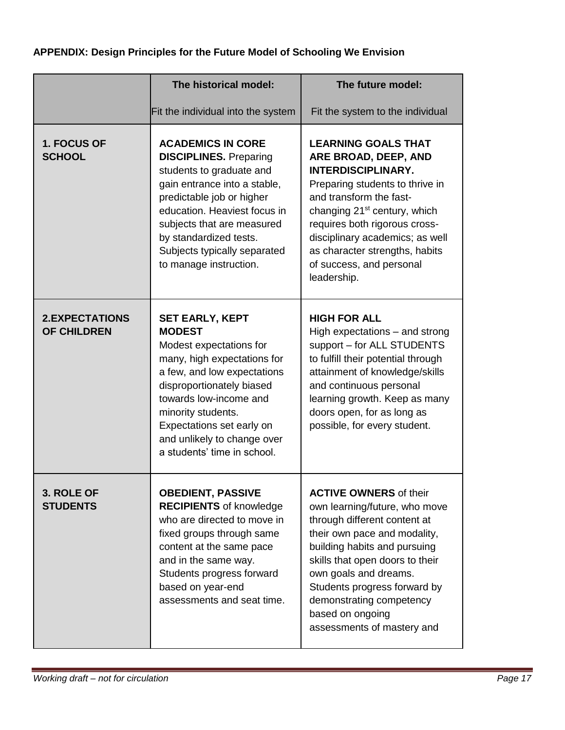# **APPENDIX: Design Principles for the Future Model of Schooling We Envision**

|                                             | The historical model:                                                                                                                                                                                                                                                                                    | The future model:                                                                                                                                                                                                                                                                                                                          |
|---------------------------------------------|----------------------------------------------------------------------------------------------------------------------------------------------------------------------------------------------------------------------------------------------------------------------------------------------------------|--------------------------------------------------------------------------------------------------------------------------------------------------------------------------------------------------------------------------------------------------------------------------------------------------------------------------------------------|
|                                             | Fit the individual into the system                                                                                                                                                                                                                                                                       | Fit the system to the individual                                                                                                                                                                                                                                                                                                           |
| 1. FOCUS OF<br><b>SCHOOL</b>                | <b>ACADEMICS IN CORE</b><br><b>DISCIPLINES.</b> Preparing<br>students to graduate and<br>gain entrance into a stable,<br>predictable job or higher<br>education. Heaviest focus in<br>subjects that are measured<br>by standardized tests.<br>Subjects typically separated<br>to manage instruction.     | <b>LEARNING GOALS THAT</b><br>ARE BROAD, DEEP, AND<br><b>INTERDISCIPLINARY.</b><br>Preparing students to thrive in<br>and transform the fast-<br>changing 21 <sup>st</sup> century, which<br>requires both rigorous cross-<br>disciplinary academics; as well<br>as character strengths, habits<br>of success, and personal<br>leadership. |
| <b>2.EXPECTATIONS</b><br><b>OF CHILDREN</b> | <b>SET EARLY, KEPT</b><br><b>MODEST</b><br>Modest expectations for<br>many, high expectations for<br>a few, and low expectations<br>disproportionately biased<br>towards low-income and<br>minority students.<br>Expectations set early on<br>and unlikely to change over<br>a students' time in school. | <b>HIGH FOR ALL</b><br>High expectations - and strong<br>support - for ALL STUDENTS<br>to fulfill their potential through<br>attainment of knowledge/skills<br>and continuous personal<br>learning growth. Keep as many<br>doors open, for as long as<br>possible, for every student.                                                      |
| 3. ROLE OF<br><b>STUDENTS</b>               | <b>OBEDIENT, PASSIVE</b><br><b>RECIPIENTS of knowledge</b><br>who are directed to move in<br>fixed groups through same<br>content at the same pace<br>and in the same way.<br>Students progress forward<br>based on year-end<br>assessments and seat time.                                               | <b>ACTIVE OWNERS of their</b><br>own learning/future, who move<br>through different content at<br>their own pace and modality,<br>building habits and pursuing<br>skills that open doors to their<br>own goals and dreams.<br>Students progress forward by<br>demonstrating competency<br>based on ongoing<br>assessments of mastery and   |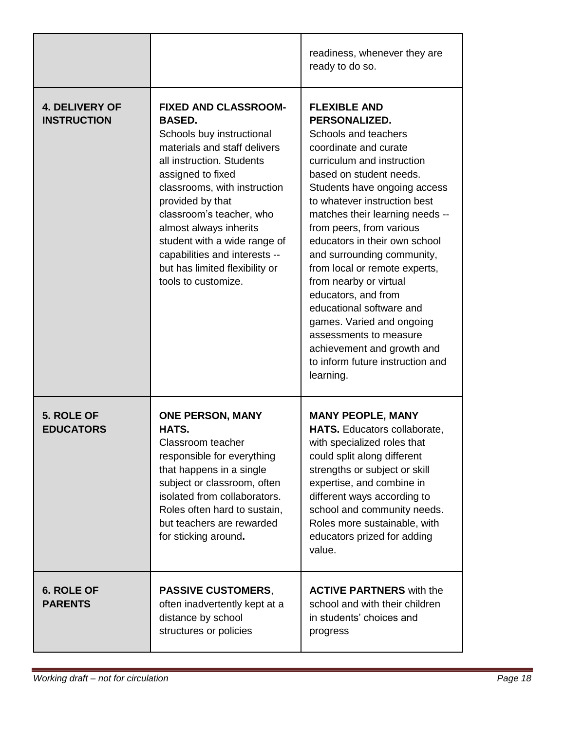|                                             |                                                                                                                                                                                                                                                                                                                                                                                                 | readiness, whenever they are<br>ready to do so.                                                                                                                                                                                                                                                                                                                                                                                                                                                                                                                                                  |
|---------------------------------------------|-------------------------------------------------------------------------------------------------------------------------------------------------------------------------------------------------------------------------------------------------------------------------------------------------------------------------------------------------------------------------------------------------|--------------------------------------------------------------------------------------------------------------------------------------------------------------------------------------------------------------------------------------------------------------------------------------------------------------------------------------------------------------------------------------------------------------------------------------------------------------------------------------------------------------------------------------------------------------------------------------------------|
| <b>4. DELIVERY OF</b><br><b>INSTRUCTION</b> | <b>FIXED AND CLASSROOM-</b><br><b>BASED.</b><br>Schools buy instructional<br>materials and staff delivers<br>all instruction. Students<br>assigned to fixed<br>classrooms, with instruction<br>provided by that<br>classroom's teacher, who<br>almost always inherits<br>student with a wide range of<br>capabilities and interests --<br>but has limited flexibility or<br>tools to customize. | <b>FLEXIBLE AND</b><br>PERSONALIZED.<br>Schools and teachers<br>coordinate and curate<br>curriculum and instruction<br>based on student needs.<br>Students have ongoing access<br>to whatever instruction best<br>matches their learning needs --<br>from peers, from various<br>educators in their own school<br>and surrounding community,<br>from local or remote experts,<br>from nearby or virtual<br>educators, and from<br>educational software and<br>games. Varied and ongoing<br>assessments to measure<br>achievement and growth and<br>to inform future instruction and<br>learning. |
| 5. ROLE OF<br><b>EDUCATORS</b>              | <b>ONE PERSON, MANY</b><br>HATS.<br>Classroom teacher<br>responsible for everything<br>that happens in a single<br>subject or classroom, often<br>isolated from collaborators.<br>Roles often hard to sustain,<br>but teachers are rewarded<br>for sticking around.                                                                                                                             | <b>MANY PEOPLE, MANY</b><br><b>HATS.</b> Educators collaborate,<br>with specialized roles that<br>could split along different<br>strengths or subject or skill<br>expertise, and combine in<br>different ways according to<br>school and community needs.<br>Roles more sustainable, with<br>educators prized for adding<br>value.                                                                                                                                                                                                                                                               |
| <b>6. ROLE OF</b><br><b>PARENTS</b>         | <b>PASSIVE CUSTOMERS,</b><br>often inadvertently kept at a<br>distance by school<br>structures or policies                                                                                                                                                                                                                                                                                      | <b>ACTIVE PARTNERS</b> with the<br>school and with their children<br>in students' choices and<br>progress                                                                                                                                                                                                                                                                                                                                                                                                                                                                                        |